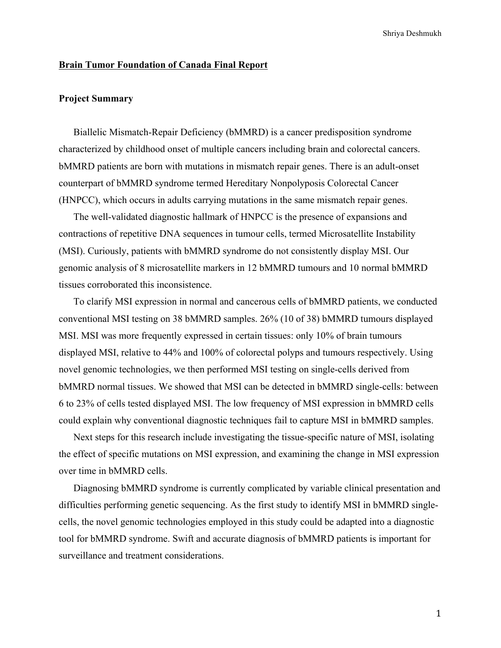### **Brain Tumor Foundation of Canada Final Report**

## **Project Summary**

Biallelic Mismatch-Repair Deficiency (bMMRD) is a cancer predisposition syndrome characterized by childhood onset of multiple cancers including brain and colorectal cancers. bMMRD patients are born with mutations in mismatch repair genes. There is an adult-onset counterpart of bMMRD syndrome termed Hereditary Nonpolyposis Colorectal Cancer (HNPCC), which occurs in adults carrying mutations in the same mismatch repair genes.

The well-validated diagnostic hallmark of HNPCC is the presence of expansions and contractions of repetitive DNA sequences in tumour cells, termed Microsatellite Instability (MSI). Curiously, patients with bMMRD syndrome do not consistently display MSI. Our genomic analysis of 8 microsatellite markers in 12 bMMRD tumours and 10 normal bMMRD tissues corroborated this inconsistence.

To clarify MSI expression in normal and cancerous cells of bMMRD patients, we conducted conventional MSI testing on 38 bMMRD samples. 26% (10 of 38) bMMRD tumours displayed MSI. MSI was more frequently expressed in certain tissues: only 10% of brain tumours displayed MSI, relative to 44% and 100% of colorectal polyps and tumours respectively. Using novel genomic technologies, we then performed MSI testing on single-cells derived from bMMRD normal tissues. We showed that MSI can be detected in bMMRD single-cells: between 6 to 23% of cells tested displayed MSI. The low frequency of MSI expression in bMMRD cells could explain why conventional diagnostic techniques fail to capture MSI in bMMRD samples.

Next steps for this research include investigating the tissue-specific nature of MSI, isolating the effect of specific mutations on MSI expression, and examining the change in MSI expression over time in bMMRD cells.

Diagnosing bMMRD syndrome is currently complicated by variable clinical presentation and difficulties performing genetic sequencing. As the first study to identify MSI in bMMRD singlecells, the novel genomic technologies employed in this study could be adapted into a diagnostic tool for bMMRD syndrome. Swift and accurate diagnosis of bMMRD patients is important for surveillance and treatment considerations.

1